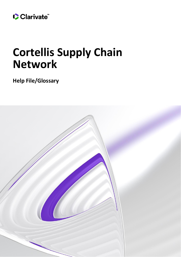

# **Cortellis Supply Chain Network**

**Help File/Glossary**

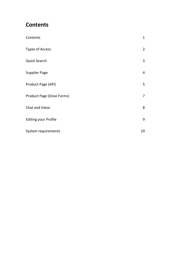# <span id="page-1-0"></span>**Contents**

| Contents                         | $\mathbf{1}$   |
|----------------------------------|----------------|
| <b>Types of Access</b>           | $\overline{2}$ |
| <b>Quick Search</b>              | 3              |
| <b>Supplier Page</b>             | 4              |
| Product Page (API)               | 5              |
| <b>Product Page (Dose Forms)</b> | $\overline{7}$ |
| Chat and Inbox                   | 8              |
| <b>Editing your Profile</b>      | 9              |
| System requirements              | 10             |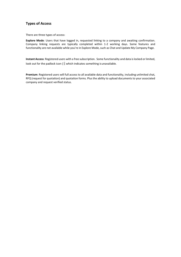# <span id="page-2-0"></span>**Types of Access**

There are three types of access:

**Explore Mode**: Users that have logged in, requested linking to a company and awaiting confirmation. Company linking requests are typically completed within 1-2 working days. Some features and functionality are not available while you're in Explore Mode, such as Chat and Update My Company Page.

**Instant Access**: Registered users with a free subscription. Some functionality and data islocked orlimited, look out for the padlock icon ( $\hat{E}$ , which indicates something is unavailable.

**Premium**: Registered users will full access to all available data and functionality, including unlimited chat, RFQ (request for quotation) and quotation forms. Plus the ability to upload documents to your associated company and request verified status.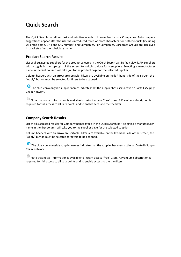# <span id="page-3-0"></span>**Quick Search**

The Quick Search bar allows fast and intuitive search of known Products or Companies. Autocomplete suggestions appear after the user has introduced three or more characters, for both Products (including US brand name, UNII and CAS number) and Companies. For Companies, Corporate Groups are displayed in brackets after the subsidiary name.

# **Product Search Results**

List of all suggested suppliers for the product selected in the Quick Search bar. Default view is API suppliers with a toggle in the top-right of the screen to switch to dose form suppliers. Selecting a manufacturer name in the first column will take you to the product page for the selected supplier.

Column headers with an arrow are sortable. Filters are available on the left-hand-side of the screen; the "Apply" button must be selected for filters to be actioned.

 $\Theta$  The blue icon alongside supplier names indicates that the supplier has users active on Cortellis Supply Chain Network.

 $\widehat{\boxdot}$  Note that not all information is available to instant access "free" users. A Premium subscription is required for full access to all data points and to enable access to the the filters.

# **Company Search Results**

List of all suggested results for Company names typed in the Quick Search bar. Selecting a manufacturer name in the first column will take you to the supplier page for the selected supplier.

Column headers with an arrow are sortable. Filters are available on the left-hand-side of the screen; the "Apply" button must be selected for filters to be actioned.

 $\Theta$  The blue icon alongside supplier names indicates that the supplier has users active on Cortellis Supply Chain Network.

Note that not all information is available to instant access "free" users. A Premium subscription is required for full access to all data points and to enable access to the the filters.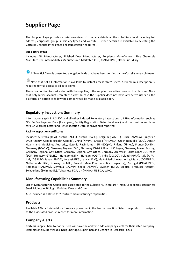# <span id="page-4-0"></span>**Supplier Page**

The Supplier Page provides a brief overview of company details at the subsidiary level including full address, corporate group, subsidiary typea and website. Further details are available by selecting the Cortellis Generics Intelligence link (subscription required).

#### **Subsidiary Types**

Includes: API Manufacturer, Finished Dose Manufacturer, Excipients Manufacturer, Fine Chemicals Manufacturer, Intermediates Manufacturer, Marketer, CRO, CMO/CDMO, Other Subsidiary.

 $\bullet$  A "blue tick" icon is presented alongside fields that have been verified by the Cortellis research team.

 $\frac{1}{1}$ Note that not all information is available to instant access "free" users. A Premium subscription is required for full access to all data points.

There is an option to start a chat with the supplier, if the supplier has active users on the platform. Note that only buyer accounts can start a chat. In case the supplier does not have any active users on the platform, an option to follow the company will be made available soon.

# **Regulatory Inspections Summary**

Information is split in US FDA and all other indexed Regulatory Inspections. US FDA information such as GDUFA Fee Payment Date (fiscal year), Facility Registration Date (fiscal year), and the most recent dates for FDA Warning Letter and FDA Inspection Date, is provided if reported.

#### **Facility inspection certificates**

Includes: Australia (TGA), Austria (AGES), Austria (BASG), Belgium (FAMHP), Brazil (ANVISA), Bulgarian Drug Agency, Canada (Health Canada), China (NMPA), Croatia (HALMED), Czech Republic (SIDC), Danish Health and Medicines Authority, Estonia Ravimiamet, EU (EDQM), Finland (Fimea), France (ANSM), Germany (BFARM), Germany Bayern (ZAB), Germany District Gov. of Cologne, Germany Lower Saxony, Germany Regional Gov. Office, Germany Regional Gov. Office, Germany Schleswig-Holstein (LAsD), Greece (EOF), Hungary (GYEMSZI), Hungary (NIPN), Hungary (OGYI), India (CDSCO), Ireland (HPRA), Italy (AIFA), Italy (DGSAFV), Japan (PMDA), Korea (MFDS), Latvia (SAM), Malta Medicine Authority, Mexico (COFEPRIS), Netherlands (IGZ), Norway (NoMA), Poland (Main Pharmaceutical Inspector), Portugal (INFARMED), Romania (NAMMD), Slovenia (JAZMP), Spain (AEMPS), Sweden (MPA, Medical Products Agency), Switzerland (Swissmedic), Taiwanese FDA, UK (MHRA), US FDA, WHO.

# **Manufacturing Capabilities Summary**

List of Manufacturing Capabilities associated to the Subsidiary. There are 4 main Capabilities categories: Small Molecule, Biologic, Finished Dose and Other.

Also included is a status for "contract manufacturing" capabilities.

# **Products**

Available APIs or finished dose forms are presented in the Productssection. Select the product to navigate to the associated product record for more information.

# **Company Alerts**

Cortellis Supply Chain Network users will have the ability to add company alerts for their listed company. Examples inc: Supply Issues, Drug Shortage, Export Ban and Change in Research Focus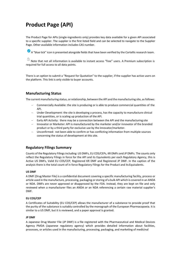# <span id="page-5-0"></span>**Product Page (API)**

The Product Page for APIs (single-ingredients only) provides key data available for a given API associated to a specific supplier. The supplier is the first listed field and can be selected to navigate to the Supplier Page. Other available information includes CAS number.

 $\bullet$  A "blue tick" icon is presented alongside fields that have been verified by the Cortellis research team.

Note that not all information is available to instant access "free" users. A Premium subscription is required for full access to all data points.

There is an option to submit a "Request for Quotation" to the supplier, if the supplier has active users on the platform. This link is only visible to buyer accounts.

# **Manufacturing Status**

The current manufacturing status, or relationship, between the API and the manufacturing site, as follows:

- Commercially Available: the site is producing or is able to produce commercial quantities of the API.
- Under Development: the site is developing a process, has the capacity to manufacture clinical trial quantities, or is scaling up production of the API.
- − Early API Activity:  there may be a connection between the API and the manufacturing site
- − Innovator or Marketer: API is manufactured by the marketer and/or innovator of the branded product or by a third party for exclusive use by the innovator/marketer.
- − Unconfirmed:  not been able to confirm or has conflicting information from multiple sources concerning the status of development at this site.

# **Regulatory Filings Summary**

Counts of the Regulatory Filings including: US DMFs, EU COS/CEPs, KR DMFs and JP DMFs. The counts only reflect the Regulatory Filings in force for the API and its Equivalents per each Regulatory Agency, this is Active US DMFs, Valid EU COS/CEP, Registered KR DMF and Registered JP DMF. In the caption of the analysis there is the total count of in force Regulatory Filings for the Product and its Equivalents.

#### **US DMF**

A DMF (Drug Master File) is a confidential document covering a specific manufacturing facility, process or article used in the manufacture, processing, packaging or storing of a bulk API which is covered in an ANDA or NDA. DMFs are never approved or disapproved by the FDA. Instead, they are kept on file and only reviewed when a manufacturer files an ANDA or an NDA referencing a certain raw material supplier's DMF.

#### **EU COS/CEP**

A Certificates of Suitability (EU COS/CEP) allows the manufacturer of a substance to provide proof that the purity of the substance is suitably controlled by the monograph of the European Pharmacopoeia. It is similar to a US DMF, but it is reviewed, and a paper approval is granted.

#### **JP DMF**

A Japanese Drug Master File (JP DMF) is a file registered with the Pharmaceutical and Medical Devices Agency PMDA (Japanese regulatory agency) which provides detailed information about facilities, processes, or articles used in the manufacturing, processing, packaging, and marketing of medicinal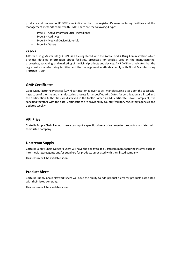products and devices. A JP DMF also indicates that the registrant's manufacturing facilities and the management methods comply with GMP. There are the following 4 types:

- − Type 1 Active Pharmaceutical Ingredients
- − Type 2 Additives
- − Type 3 Medical Device Materials
- − Type 4 Others

#### **KR DMF**

A Korean Drug Master File (KR DMF) is a file registered with the Korea Food & Drug Administration which provides detailed information about facilities, processes, or articles used in the manufacturing, processing, packaging, and marketing of medicinal products and devices. A KR DMF also indicates that the registrant's manufacturing facilities and the management methods comply with Good Manufacturing Practices (GMP).

#### **GMP Certificates**

Good Manufacturing Practices (GMP) certification is given to API manufacturing sites upon the successful inspection of the site and manufacturing process for a specified API. Dates for certification are listed and the Certification Authorities are displayed in the tooltip. When a GMP certificate is Non-Compliant, it is specified together with the date. Certifications are provided by country/territory regulatory agencies and updated weekly.

### **API Price**

Cortellis Supply Chain Network users can input a specific price or price range for products associated with their listed company.

# **Upstream Supply**

Cortellis Supply Chain Network users will have the ability to add upstream manufacturing insights such as intermediates/reagents and/or suppliers for products associated with their listed company.

This feature will be available soon.

### **Product Alerts**

Cortellis Supply Chain Network users will have the ability to add product alerts for products associated with their listed company.

This feature will be available soon.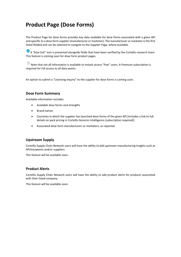# <span id="page-7-0"></span>**Product Page (Dose Forms)**

The Product Page for dose forms provides key data available for dose forms associated with a given API and specific to a dose form supplier (manufacturer or marketer). The manufacturer or marketer isthe first listed fielded and can be selected to navigate to the Supplier Page, where available.

 $\blacktriangleright$  A "blue tick" icon is presented alongside fields that have been verified by the Cortellis research team. This feature is coming soon for dose form product pages.

 $\Box$  Note that not all information is available to instant access "free" users. A Premium subscription is required for full access to all data points.

An option to submit a "Licensing Inquiry" to the supplier for dose forms is coming soon.

### **Dose Form Summary**

Available information includes:

- Available dose forms and strengths
- Brand names
- Countries in which the supplier has launched dose forms of the given API [includes a link to full details on pack pricing in Cortellis Generics Intelligence (subscription required)]
- Associated dose form manufacturers or marketers, as reported

# **Upstream Supply**

Cortellis Supply Chain Network users will have the ability to add upstream manufacturing insights such as API/excipients and/or suppliers.

This feature will be available soon.

# **Product Alerts**

Cortellis Supply Chain Network users will have the ability to add product alerts for products associated with their listed company.

This feature will be available soon.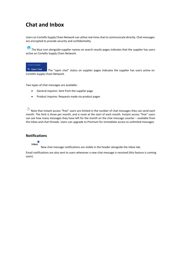# <span id="page-8-0"></span>**Chat and Inbox**

Users on Cortellis Supply Chain Network can utilise real-time chat to communicate directly. Chat messages are encrypted to provide security and confidentiality.

 $\bullet$  The blue icon alongside supplier names on search results pages indicates that the supplier has users active on Cortellis Supply Chain Network.

# **Contact Supplier**

<sup>是</sup> Open Chat The "open chat" status on supplier pages indicates the supplier has users active on Cortellis Supply Chain Network.

Two types of chat messages are available:

- General inquires: Sent from the supplier page
- Product inquires: Requests made via product pages

 $\triangleq$  Note that instant access "free" users are limited in the number of chat messages they can send each month. The limit is three per month, and is reset at the start of each month. Instant access "free" users can see how many messages they have left for the month on the chat message counter – available from the Inbox and chat threads. Users can upgrade to Premium for immediate access to unlimited messages.

# **Notifications**

Inbox

New chat message notifications are visible in the header alongside the Inbox tab.

Email notifications are also sent to users whenever a new chat message is received (this feature is coming soon).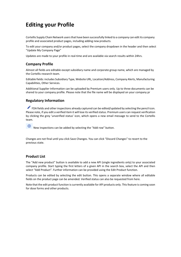# <span id="page-9-0"></span>**Editing your Profile**

Cortellis Supply Chain Network users that have been successfully linked to a company can edit its company profile and associated product pages, including adding new products.

To edit your company and/or product pages, select the company dropdown in the header and then select "Update My Company Page"

Updates are made to your profile in real-time and are available via search results within 24hrs.

# **Company Profile**

Almost all fields are editable except subsidiary name and corporate group name, which are managed by the Cortellis research team.

Editable fields: includes Subsidiary Type, Website URL, Location/Address, Company Alerts, Manufacturing Capabilities, Other Services.

Additional Supplier Information can be uploaded by Premium users only. Up to three documents can be shared to your company profile. Please note that the file name will be displayed on your company pr

# **Regulatory Information**

FDA fields and other inspections already captured can be edited/updated by selecting the pencil icon. Please note, if you edit a verified item it will lose its verified status. Premium users can request verification by clicking the grey 'unverified status' icon, which opens a new email message to send to the Cortellis team.

 $\bigoplus$ New inspections can be added by selecting the "Add row" button.

Changes are not final until you click Save Changes. You can click "Discard Changes" to revert to the previous state.

# **Product List**

The "Add new product" button is available to add a new API (single ingredients only) to your associated company profile. Start typing the first letters of a given API in the search box, select the API and then select "Add Product". Further information can be provided using the Edit Product function.

Products can be edited by selecting the edit button. This opens a separate window where all editable fields on the product page can be amended. Verified status can also be requested from here.

Note that the edit product function is currently available for API products only. Thisfeature is coming soon for dose forms and other products.